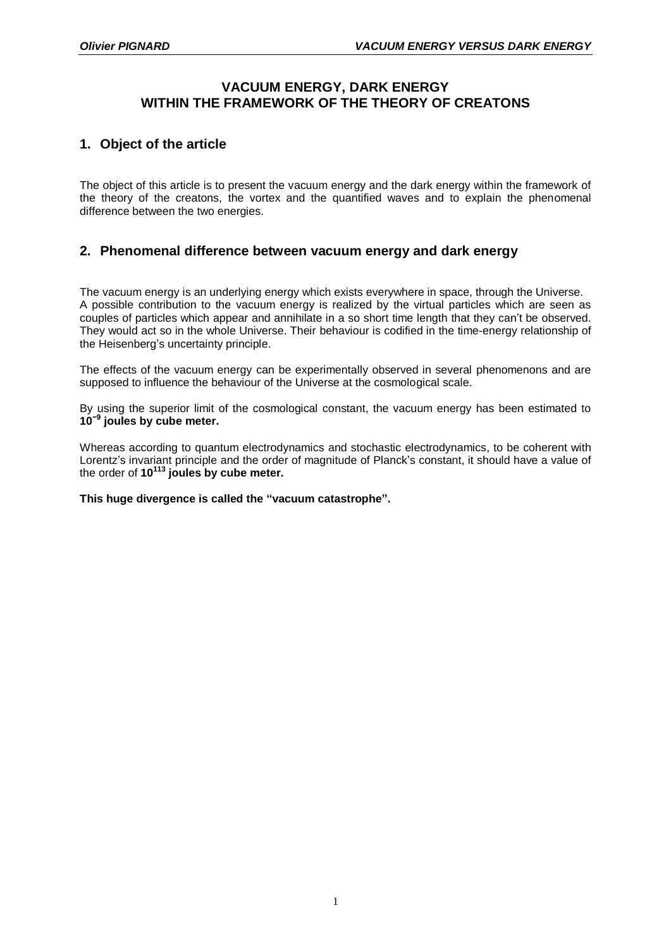# **VACUUM ENERGY, DARK ENERGY WITHIN THE FRAMEWORK OF THE THEORY OF CREATONS**

# **1. Object of the article**

The object of this article is to present the vacuum energy and the dark energy within the framework of the theory of the creatons, the vortex and the quantified waves and to explain the phenomenal difference between the two energies.

## **2. Phenomenal difference between vacuum energy and dark energy**

The vacuum energy is an underlying energy which exists everywhere in space, through the Universe. A possible contribution to the vacuum energy is realized by the virtual particles which are seen as couples of particles which appear and annihilate in a so short time length that they can't be observed. They would act so in the whole Universe. Their behaviour is codified in the time-energy relationship of the Heisenberg's uncertainty principle.

The effects of the vacuum energy can be experimentally observed in several phenomenons and are supposed to influence the behaviour of the Universe at the cosmological scale.

By using the superior limit of the cosmological constant, the vacuum energy has been estimated to **10−9 joules by cube meter.**

Whereas according to quantum electrodynamics and stochastic electrodynamics, to be coherent with Lorentz's invariant principle and the order of magnitude of Planck's constant, it should have a value of the order of **10<sup>113</sup> joules by cube meter.**

#### **This huge divergence is called the "vacuum catastrophe".**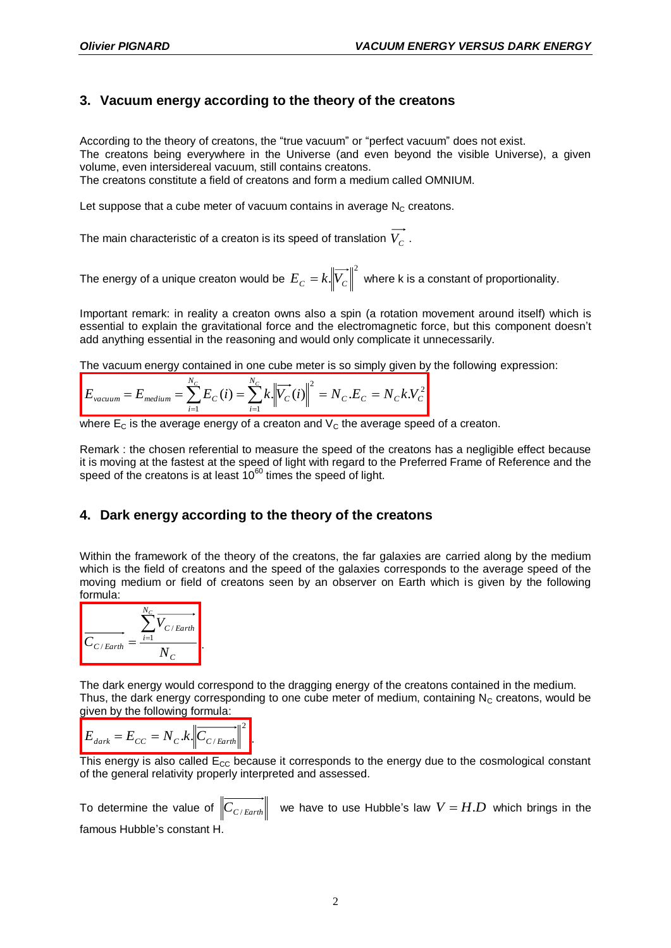# **3. Vacuum energy according to the theory of the creatons**

According to the theory of creatons, the "true vacuum" or "perfect vacuum" does not exist. The creatons being everywhere in the Universe (and even beyond the visible Universe), a given volume, even intersidereal vacuum, still contains creatons. The creatons constitute a field of creatons and form a medium called OMNIUM.

Let suppose that a cube meter of vacuum contains in average  $N_c$  creatons.

The main characteristic of a creaton is its speed of translation  $\,_{C}^{\phantom i}$  .

The energy of a unique creaton would be  $E_{C} = k. \bigl\Vert \overrightarrow{V_{C}} \bigr\Vert^{2}$  where k is a constant of proportionality.

Important remark: in reality a creaton owns also a spin (a rotation movement around itself) which is essential to explain the gravitational force and the electromagnetic force, but this component doesn't add anything essential in the reasoning and would only complicate it unnecessarily.

The vacuum energy contained in one cube meter is so simply given by the following expression:

$$
E_{vacuum} = E_{medium} = \sum_{i=1}^{N_C} E_C(i) = \sum_{i=1}^{N_C} k \left\| \overrightarrow{V_C}(i) \right\|^2 = N_C . E_C = N_C k . V_C^2
$$

where  $E_C$  is the average energy of a creaton and  $V_C$  the average speed of a creaton.

Remark : the chosen referential to measure the speed of the creatons has a negligible effect because it is moving at the fastest at the speed of light with regard to the Preferred Frame of Reference and the speed of the creatons is at least  $10^{60}$  times the speed of light.

### **4. Dark energy according to the theory of the creatons**

Within the framework of the theory of the creatons, the far galaxies are carried along by the medium which is the field of creatons and the speed of the galaxies corresponds to the average speed of the moving medium or field of creatons seen by an observer on Earth which is given by the following formula:



The dark energy would correspond to the dragging energy of the creatons contained in the medium. Thus, the dark energy corresponding to one cube meter of medium, containing  $N_c$  creatons, would be given by the following formula:

$$
E_{\text{dark}} = E_{\text{CC}} = N_{\text{C}} \cdot k \sqrt{C_{\text{C/Earth}}} \Big|^2.
$$

This energy is also called  $E_{CC}$  because it corresponds to the energy due to the cosmological constant of the general relativity properly interpreted and assessed.

To determine the value of  $\left\|C_{C/Earth}\right\|$  we have to use Hubble's law  $V$  =  $H.D$  which brings in the famous Hubble's constant H.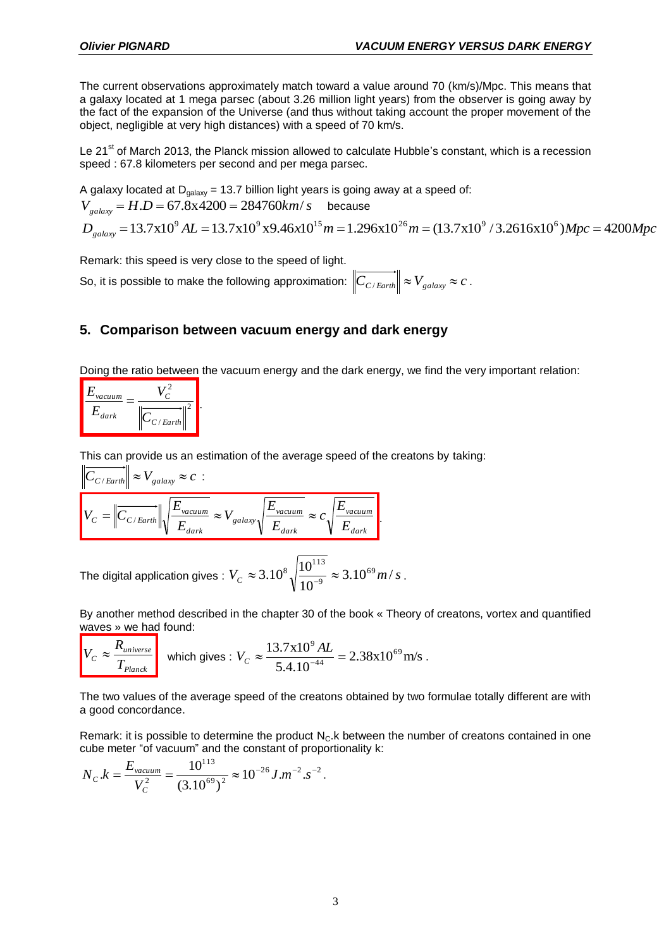The current observations approximately match toward a value around 70 (km/s)/Mpc. This means that a galaxy located at 1 mega parsec (about 3.26 million light years) from the observer is going away by the fact of the expansion of the Universe (and thus without taking account the proper movement of the object, negligible at very high distances) with a speed of 70 km/s.

Le 21<sup>st</sup> of March 2013, the Planck mission allowed to calculate Hubble's constant, which is a recession speed : 67.8 kilometers per second and per mega parsec.

A galaxy located at  $D_{galaxy} = 13.7$  billion light years is going away at a speed of:  $V_{galaxy} = H.D = 67.8 \times 4200 = 284760 km/s$  because *D* galaxy located at D<sub>galaxy</sub> = 13.7 billion light years is going away at a speed of:<br>  $V_{galaxy} = H.D = 67.8 \times 4200 = 284760 km/s$  because<br>  $D_{galaxy} = 13.7 \times 10^9 AL = 13.7 \times 10^9 \times 9.46 \times 10^{15} m = 1.296 \times 10^{26} m = (13.7 \times 10^9 / 3.2616 \$ 

Remark: this speed is very close to the speed of light.

So, it is possible to make the following approximation:  $\left\|C_{C/Earth}\right\| \approx V_{galaxy} \approx c$  .

### **5. Comparison between vacuum energy and dark energy**

Doing the ratio between the vacuum energy and the dark energy, we find the very important relation:

| vacuum |                         |
|--------|-------------------------|
| dark   | $\langle C/Earth \vert$ |

This can provide us an estimation of the average speed of the creatons by taking:

$$
\begin{aligned}\n\left\| C_{C/Earth} \right\| &\approx V_{galaxy} \approx c : \\
\left\| C_{C/Earth} \right\| \sqrt{\frac{E_{vacuum}}{E_{dark}}} \approx V_{galaxy} \sqrt{\frac{E_{vacuum}}{E_{dark}}} \approx c \sqrt{\frac{E_{vacuum}}{E_{dark}}}.\n\end{aligned}
$$

The digital application gives :  $V_c \approx 3.10^8 \sqrt{\frac{10}{10^{-9}}} \approx 3.10^{69} m/s$ 10  $3.10^8 \sqrt{\frac{10^{113}}{10^{-9}}} \approx 3.10^{69}$  $\approx 3.10^8 \sqrt{\frac{10^{113}}{10^{-9}}} \approx 3.10^{69} m/s$ .

By another method described in the chapter 30 of the book « Theory of creatons, vortex and quantified waves » we had found:

$$
V_C \approx \frac{R_{universe}}{T_{Planck}}
$$
 which gives :  $V_C \approx \frac{13.7 \times 10^9 \, \text{AL}}{5.4.10^{-44}} = 2.38 \times 10^{69} \, \text{m/s}$ .

The two values of the average speed of the creatons obtained by two formulae totally different are with a good concordance.

Remark: it is possible to determine the product  $N_c$ . K between the number of creatons contained in one cube meter "of vacuum" and the constant of proportionality k:

$$
N_{C}.k = \frac{E_{\text{vacuum}}}{V_{C}^{2}} = \frac{10^{113}}{(3.10^{69})^{2}} \approx 10^{-26} J.m^{-2}.s^{-2}.
$$